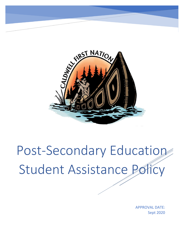

Post-Secondary Education Student Assistance Policy

> Sept 2020 APPROVAL DATE: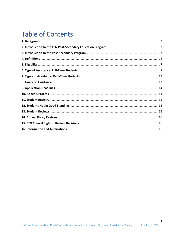# **Table of Contents**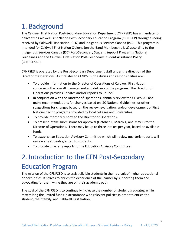# <span id="page-2-0"></span>1. Background

The Caldwell First Nation Post-Secondary Education Department (CFNPSED) has a mandate to deliver the Caldwell First Nation Post-Secondary Education Program (CFNPSEP) through funding received by Caldwell First Nation (CFN) and Indigenous Services Canada (ISC). This program is intended for Caldwell First Nation Citizens (on the Band Membership List) according to the Indigenous Services Canada (ISC) Post-Secondary Student Support Program's National Guidelines and the Caldwell First Nation Post-Secondary Student Assistance Policy (CFNPSESAP).

CFNPSED is operated by the Post-Secondary Department staff under the direction of the Director of Operations. As it relates to CFNPSED, the duties and responsibilities are:

- To provide information to the Director of Operations of Caldwell First Nation concerning the overall management and delivery of the program. The Director of Operations provides updates and/or reports to Council.
- In conjunction with the Director of Operations, annually review the CFNPSSAP and make recommendations for changes based on ISC National Guidelines, or other suggestions for changes based on the review, evaluation, and/or development of First Nation-specific programs provided by local colleges and universities.
- To provide monthly reports to the Director of Operations.
- To present intake submissions for approval (October 1, March 1, and May 1) to the Director of Operations. There may be up to three intakes per year, based on available funds.
- To establish an Education Advisory Committee which will review quarterly reports will review any appeals granted to students.
- To provide quarterly reports to the Education Advisory Committee.

# <span id="page-2-1"></span>2. Introduction to the CFN Post-Secondary Education Program

The mission of the CFNPSED is to assist eligible students in their pursuit of higher educational opportunities. It strives to enrich the experience of the learner by supporting them and advocating for them while they are on their academic path.

The goal of the CFNPSED is to continually increase the number of student graduates, while maximizing the limited funds in accordance with relevant policies in order to enrich the student, their family, and Caldwell First Nation.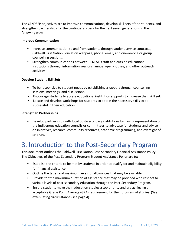The CFNPSEP objectives are to improve communications, develop skill sets of the students, and strengthen partnerships for the continual success for the next seven generations in the following ways:

#### **Improve Communication**

- Increase communication to and from students through student service contracts, Caldwell First Nation Education webpage, phone, email, and one-on-one or group counselling sessions.
- Strengthen communications between CFNPSED staff and outside educational institutions through information sessions, annual open-houses, and other outreach activities.

#### **Develop Student Skill Sets**

- To be responsive to student needs by establishing a rapport through counselling sessions, meetings, and discussions.
- Encourage students to access educational institution supports to increase their skill set.
- Locate and develop workshops for students to obtain the necessary skills to be successful in their education.

#### **Strengthen Partnerships**

• Develop partnerships with local post-secondary institutions by having representation on the Indigenous education councils or committees to advocate for students and advise on initiatives, research, community resources, academic programming, and oversight of services.

## <span id="page-3-0"></span>3. Introduction to the Post-Secondary Program

This document outlines the Caldwell First Nation Post-Secondary Financial Assistance Policy. The Objectives of the Post-Secondary Program Student Assistance Policy are to:

- Establish the criteria to be met by students in order to qualify for and maintain eligibility for financial assistance.
- Outline the types and maximum levels of allowances that may be available.
- Provide for the maximum duration of assistance that may be provided with respect to various levels of post-secondary education through the Post-Secondary Program.
- Ensure students make their education studies a top priority and are achieving an acceptable Grade Point Average (GPA) requirement for their program of studies. (See extenuating circumstances see page 4).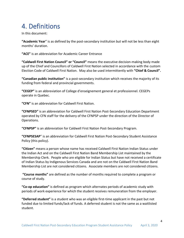# <span id="page-4-0"></span>4. Definitions

In this document:

**"Academic Year**" is as defined by the post-secondary institution but will not be less than eight months' duration.

**"ACE"** is an abbreviation for Academic Career Entrance

**"Caldwell First Nation Council" or "Council"** means the executive decision-making body made up of the Chief and Councillors of Caldwell First Nation selected in accordance with the custom Election Code of Caldwell First Nation. May also be used intermittently with **"Chief & Council".**

**"Canadian public institution"** is a post-secondary institution which receives the majority of its funding from federal and provincial governments.

**"CEGEP"** is an abbreviation of College d'enseignement general et professionnel. CEGEPs operate in Quebec.

**"CFN"** is an abbreviation for Caldwell First Nation.

**"CFNPSED"** is an abbreviation for Caldwell First Nation Post-Secondary Education Department operated by CFN staff for the delivery of the CFNPSP under the direction of the Director of Operations.

**"CFNPSP"** is an abbreviation for Caldwell First Nation Post-Secondary Program.

**"CFNPSESAP**" is an abbreviation for Caldwell First Nation Post-Secondary Student Assistance Policy (this policy).

**"Citizen"** means a person whose name has received Caldwell First Nation Indian Status under the Indian Act and on the Caldwell First Nation Band Membership List maintained by the Membership Clerk. People who are eligible for Indian Status but have not received a certificate of Indian Status by Indigenous Services Canada and are not on the Caldwell First Nation Band Membership List are not considered citizens. Associate members are not considered citizens.

**"Course months"** are defined as the number of months required to complete a program or course of study.

**"Co-op education"** is defined as program which alternates periods of academic study with periods of work experience for which the student receives remuneration from the employer.

**"Deferred student"** is a student who was an eligible first-time applicant in the past but not funded due to limited funds/lack of funds. A deferred student is not the same as a waitlisted student.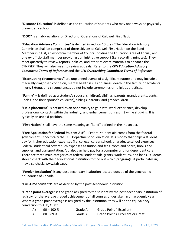**"Distance Education"** is defined as the education of students who may not always be physically present at a school.

**"DOO"** is an abbreviation for Director of Operations of Caldwell First Nation.

**"Education Advisory Committee"** is defined in section 10.c. as "The Education Advisory Committee shall be comprised of three citizens of Caldwell First Nation on the Band Membership List, an ex-officio member of Council (holding the Education Area of Focus), and one ex-officio staff member providing administrative support (i.e. recording minutes). They meet quarterly to review reports, policies, and other relevant materials to enhance the CFNPSEP. They will also meet to review appeals. Refer to the *CFN Education Advisory Committee Terms of Reference* and the *CFN Overarching Committee Terms of Reference*.

**"Extenuating circumstances"** are unplanned events of a significant nature and may include a medically diagnosed condition, mental health issues or illness, death in the family, or accidental injury. Extenuating circumstances do not include ceremonies or religious practices.

**"Family"** – is defined as a student's spouse, child(ren), siblings, parents, grandparents, aunts, uncles, and their spouse's child(ren), siblings, parents, and grandchildren.

**"Field placement"** is defined as an opportunity to gain vital work experience, develop professional contacts within the industry, and enhancement of resumé while studying. It is typically an unpaid position.

**"First Nation"** shall have the same meaning as "Band" defined in the Indian act.

**"Free Application for Federal Student Aid"** – Federal student aid comes from the federal government – specifically the U.S. Department of Education. It is money that helps a student pay for higher education expenses (i.e. college, career school, or graduate school expenses). Federal student aid covers such expenses as tuition and fees, room and board, books and supplies, and transportation. Aid also can help pay for a computer and for dependent care. There are three main categories of federal student aid: grants, work-study, and loans. Students should check with their educational institution to find out which program(s) it participates in; may also check: www.fafsa.gov.

**"Foreign Institution"** is any post-secondary institution located outside of the geographic boundaries of Canada.

**"Full-Time Students"** are as defined by the post-secondary institution.

**"Grade point average"** is the grade assigned to the student by the post-secondary institution of registry for the average graded achievement of all courses undertaken in an academic year. Where a grade point average is assigned by the institution, they will do the equivalency conversion to A, B, C, etc.

| A+ | $90 - 100 \%$ | Grade A | <b>Grade Point 4 Excellent</b>          |
|----|---------------|---------|-----------------------------------------|
|    | $80 - 89 \%$  | Grade A | <b>Grade Point 4 Excellent or Great</b> |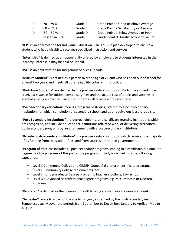| B. | $70 - 79$ %   | Grade B | Grade Point 3 Good or Above Average     |
|----|---------------|---------|-----------------------------------------|
| C. | $60 - 69$ %   | Grade C | Grade Point 2 Satisfactory or Average   |
| D. | $50 - 59$ %   | Grade D | Grade Point 1 Below Average or Poor     |
| E. | Less than 50% | Grade F | Grade Point 0 Unsatisfactory or Failure |

**"IEP"** is an abbreviation for Individual Education Plan. This is a plan developed to ensure a student who has a disability receives specialized instruction and services.

**"Internship"** is defined as an opportunity offered by employers to students interested in the industry. Internship may be paid or unpaid.

**"ISC"** is an abbreviation for Indigenous Services Canada.

**"Mature Student"** is defined as a person over the age of 21 and who has been out of school for at least two years and meets all other eligibility criteria in this policy.

**"Part-Time Students"** are defined by the post-secondary institution. Part-time students may receive assistance for tuition, compulsory fees and the actual cost of books and supplies. If granted a living allowance, Part-time students will receive a pro-rated rated.

**"Post-secondary education"** means a program of studies, offered by a post-secondary institution, for which completion of secondary school studies or equivalent is a prerequisite.

**"Post-Secondary Institutions"** are degree, diploma, and certificate-granting institutions which are recognized, and include educational institutions affiliated with, or delivering accredited post-secondary programs by an arrangement with a post-secondary institution.

**"Private post-secondary institution"** is a post-secondary institution which receives the majority of its funding from the student fees, and from sources other than governments.

**"Program of Studies"** includes all post-secondary programs leading to a certificate, diploma, or degree. For the purposes of this policy, the program of study is divided into the following categories:

- Level I: Community College and CEGEP (Quebec) diploma or certificate programs.
- Level II: Community College diploma programs
- Level III: Undergraduate Degree programs, Teacher's College, Law School
- Level IV: Advanced or professional degree programs e.g. MD., Masters or Doctoral Programs.

**"Pro-rated"** is defined as the division of monthly living allowances into weekly amounts**.**

**"Semester"** refers to a part of the academic year, as defined by the post-secondary institution. Semesters usually cover the periods from September to December; January to April; or May to August.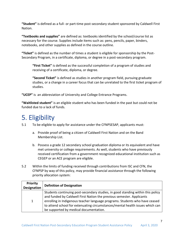**"Student"** is defined as a full- or part-time post-secondary student sponsored by Caldwell First Nation.

**"Textbooks and supplies"** are defined as: textbooks identified by the school/course list as necessary for the course. Supplies include items such as: pens, pencils, paper, binders, notebooks, and other supplies as defined in the course outline.

**"Ticket"** is defined as the number of times a student is eligible for sponsorship by the Post-Secondary Program, in a certificate, diploma, or degree in a post-secondary program.

**"First Ticket"** is defined as the successful completion of a program of studies and receiving of a certificate, diploma, or degree.

**"Second Ticket"** is defined as studies in another program field, pursuing graduate studies, or a change in a career focus that can be unrelated to the first ticket program of studies.

**"UCEP"** is an abbreviation of University and College Entrance Programs.

**"Waitlisted student"** is an eligible student who has been funded in the past but could not be funded due to a lack of funds.

# <span id="page-7-0"></span>5. Eligibility

5.1 To be eligible to apply for assistance under the CFNPSESAP, applicants must:

- a. Provide proof of being a citizen of Caldwell First Nation and on the Band Membership List.
- b. Possess a grade 12 secondary school graduation diploma or its equivalent and have met university or college requirements. As well, students who have previously received certification from a government recognized educational institution such as CEGEP or an ACE program are eligible.
- 5.2 Within the limits of funding received through contributions from ISC and CFN, the CFNPSP by way of this policy, may provide financial assistance through the following priority allocation system:

| <b>Priority</b><br><b>Designation</b> | <b>Definition of Designation</b>                                                                                                                                                                                                                                                                                         |
|---------------------------------------|--------------------------------------------------------------------------------------------------------------------------------------------------------------------------------------------------------------------------------------------------------------------------------------------------------------------------|
| 1                                     | Students continuing post-secondary studies, in good standing within this policy<br>and funded by Caldwell First Nation the previous semester. Applicants<br>enrolling in Indigenous teacher language programs. Students who have ceased<br>to attend school for extenuating circumstances/mental health issues which can |
|                                       | be supported by medical documentation.                                                                                                                                                                                                                                                                                   |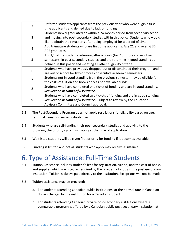| $\overline{2}$ | Deferred students/applicants from the previous year who were eligible first-  |
|----------------|-------------------------------------------------------------------------------|
|                |                                                                               |
|                | time applicants and denied due to lack of funding.                            |
|                | Students newly graduated or within a 24-month period from secondary school    |
| 3              | and moving into post-secondary studies within this policy. Students who would |
|                | like to obtain their master's after being employed for a period of time.      |
| 4              | Adults/mature students who are first time applicants. Age 21 and over, GED,   |
|                | ACE graduates.                                                                |
|                | Adult/mature students returning after a break (for 2 or more consecutive      |
| 5              | semesters) in post-secondary studies, and are returning in good standing as   |
|                | defined in this policy and meeting all other eligibility criteria.            |
| 6              | Students who have previously dropped out or discontinued their program and    |
|                | are out of school for two or more consecutive academic semesters.             |
| 7              | Students not in good standing from the previous semester may be eligible for  |
|                | the costs of tuition and books only as per available funds                    |
|                | Students who have completed one ticket of funding and are in good standing.   |
| 8              | See Section 8: Limits of Assistance.                                          |
|                | Students who have completed two tickets of funding and are in good standing.  |
| 9              | See Section 8: Limits of Assistance. Subject to review by the Education       |
|                | Advisory Committee and Council approval.                                      |

- 5.3 The Post-Secondary Program does not apply restrictions for eligibility based on age, terminal illness, or learning disabilities.
- 5.4 Students who are self-funding their post-secondary studies and applying to the program, the priority system will apply at the time of application.
- 5.5 Waitlisted students will be given first priority for funding if it becomes available.
- 5.6 Funding is limited and not all students who apply may receive assistance.

#### <span id="page-8-0"></span>6. Type of Assistance: Full-Time Students

- 6.1 Tuition Assistance includes student's fees for registration, tuition, and the cost of books and supplies which are listed as required by the program of study in the post-secondary institution. Tuition is always paid directly to the institution. Exceptions will not be made.
- 6.2 Tuition assistance may be provided:
	- a. For students attending Canadian public institutions, at the normal rate in Canadian dollars charged by the institution for a Canadian student.
	- b. For students attending Canadian private post-secondary institutions where a comparable program is offered by a Canadian public post-secondary institution, at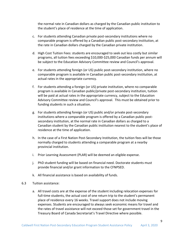the normal rate in Canadian dollars as charged by the Canadian public institution to the student's place of residence at the time of application.

- c. For students attending Canadian private post-secondary institutions where no comparable program is offered by a Canadian public post-secondary institution, at the rate in Canadian dollars charged by the Canadian private institution.
- d. High Cost Tuition Fees: students are encouraged to seek out less costly but similar programs, all tuition fees exceeding \$10,000-\$25,000 Canadian funds per annum will be subject to the Education Advisory Committee review and Council's approval.
- e. For students attending foreign (or US) public post-secondary institution, where no comparable program is available in Canadian public post-secondary institution, at actual rates in the appropriate currency.
- f. For students attending a foreign (or US) private institution, where no comparable program is available in Canadian public/private post-secondary institution, tuition will be paid at actual rates in the appropriate currency, subject to the Education Advisory Committee review and Council's approval. This must be obtained prior to funding students in such a situation.
- g. For students attending foreign (or US) public and/or private post-secondary institutions where a comparable program is offered by a Canadian public postsecondary institution, at the normal rate in Canadian dollars as charged to a Canadian student by the Canadian public institution nearest to the student's place of residence at the time of application.
- h. In the case of a First Nation Post-Secondary Institution, the tuition fees will be those normally charged to students attending a comparable program at a nearby provincial institution.
- i. Prior Learning Assessment (PLAR) will be deemed an eligible expense.
- j. PhD student funding will be based on financial need. Doctorate students must provide financial and/or grant information to the CFNPSED.
- k. All financial assistance is based on availability of funds.
- 6.3 Tuition assistance:
	- a. All travel costs are at the expense of the student including relocation expenses for full-time students, the actual cost of one return trip to the student's permanent place of residence every 16 weeks. Travel support does not include moving expenses. Students are encouraged to always seek economic means for travel and the rates of travel assistance will not exceed those set for government travel in the Treasury Board of Canada Secretariat's Travel Directive where possible.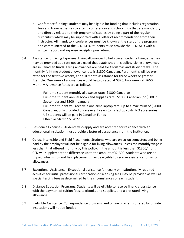- b. Conference funding: students may be eligible for funding that includes registration fees and travel expenses to attend conferences and school trips that are mandatory and directly related to their program of studies by being a part of the regular curriculum which may be supported with a letter of recommendation from their instructor. All mandatory conferences must be known at the start of the program and communicated to the CFNPSED. Students must provide the CFNPSED with a written report and expense receipts upon return.
- **6.4** Assistance for Living Expenses: Living allowances to help cover students living expenses may be provided at a rate not to exceed that established this policy. Living allowances are in Canadian funds. Living allowances are paid for Christmas and study breaks. The monthly full-time student allowance rate is \$1300 Canadian. Part months will be prorated for the first two weeks, and full month assistance for three weeks or greater. Example: One week of allowances would be pro-rated at \$325, two weeks at \$650. Monthly Allowance Rates are as follows:

Full-time student monthly allowance rate: \$1300 Canadian Full-time student annual books and supplies rate: \$1000 Canadian (or \$500 in September and \$500 in January) Full-time student will receive a one-time laptop rate: up to a maximum of \$2000 Canadian, only provided once every 5 years (only laptop costs, NO accessories) US students will be paid in Canadian Funds Effective March 15, 2022

- 6.5 Residence Expenses: Students who apply and are accepted for residence with an educational institution must provide a letter of acceptance from the institution.
- 6.6 Co-op, internship and Field Placements: Students who are on co-op semesters and being paid by the employer will not be eligible for living allowances unless the monthly wage is less than that offered monthly by this policy. If the amount is less than \$1300/month CFN will supplement the difference up to the amount of \$1300. Students who are on unpaid internships and field placement may be eligible to receive assistance for living allowances.
- 6.7 Exceptional Assistance: Exceptional assistance for legally or institutionally required activities for initial professional certification or licensing fees may be provided as well as special testing fees as determined by the circumstances of each student.
- 6.8 Distance Education Programs: Students will be eligible to receive financial assistance with the payment of tuition fees, textbooks and supplies, and a pro-rated living allowance.
- 6.9 Ineligible Assistance: Correspondence programs and online programs offered by private institutions will not be funded.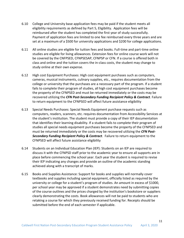- 6.10 College and University base application fees may be paid if the student meets all eligibility requirements as defined by Part 5, Eligibility. Application fees will be reimbursed after the student has completed the first year of study successfully. Payment of application fees are limited to one fee reimbursed every three years and are set at a maximum of a \$500 for university applications and \$200 for college applications.
- 6.11 All online studies are eligible for tuition fees and books. Full-time and part-time online studies are eligible for living allowances. Extension fees for online course work will not be covered by the CNFPSED, CFNPSESAP, CFNPSP or CFN. If a course is offered both in class and online and the tuition covers the in-class costs, the student may change to study online at their own expense.
- 6.12 High cost Equipment Purchases: High cost equipment purchases such as computers, cameras, musical instruments, culinary supplies, etc., requires documentation from the college or university that the purchases are a necessary part of the program. If a student fails to complete their program of studies, all high cost equipment purchases become the property of the CFNPSED and must be returned immediately or the costs may be recovered utilizing the *CFN Post-Secondary Funding Recipient Policy & Contract*. Failure to return equipment to the CFNPSED will affect future assistance eligibility
- 6.13 Special Needs Purchases: Special Needs Equipment purchase requests such as computers, readers, scanners, etc. requires documentation from Accessibility Services at the student's institution. The student must provide a copy of their IEP documentation that identifies their learning disability. If a student fails to complete their program of studies all special needs equipment purchases become the property of the CFNPSED and must be returned immediately or the costs may be recovered utilizing the *CFN Post-Secondary Funding Recipient Policy & Contract*. Failure to return equipment to the CFNPSED will affect future assistance eligibility
- 6.14 Students on an Individual Education Plan (IEP): Students on an IEP are required to discuss it with the CFNPSD staff prior to the academic year to ensure all supports are in place before commencing the school year. Each year the student is required to revise their IEP indicating any changes and provide an outline of the academic standing achieved along with a transcript of marks.
- 6.15 Books and Supplies Assistance: Support for books and supplies will normally cover textbooks and supplies including special equipment, officially listed as required by the university or college for a student's program of studies. An amount in excess of \$1000, per school year may be approved if a student demonstrates need by submitting copies of the course outlines and the prices charged by the institution's bookstore or suppliers clearly demonstrating the costs. Book allowances will not be paid to students who are retaking a course for which they previously received funding for. Receipts should be submitted before the end of each semester if applicable.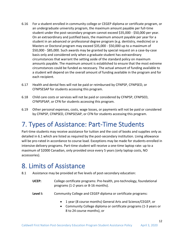- 6.16 For a student enrolled in community college or CEGEP diploma or certificate program, or an undergraduate university program, the maximum amount payable per full-time student under the post-secondary program cannot exceed \$35,000 - \$50,000 per year. On an extraordinary and justified basis, the maximum amount payable per year for a student in an advanced or professional degree program (e.g. dentistry, medicine) or a Masters or Doctoral program may exceed \$35,000 - \$50,000 up to a maximum of \$50,000 - \$85,000. Such awards may be granted by special request on a case-by-case basis only and considered only when a graduate student has extraordinary circumstances that warrant the setting aside of the standard policy on maximum amounts payable. The maximum amount is established to ensure that the most extreme circumstances could be funded as necessary. The actual amount of funding available to a student will depend on the overall amount of funding available in the program and for each recipient.
- 6.17 Health and dental fees will not be paid or reimbursed by CFNPSP, CFNPSED, or CFNPSESAP for students accessing this program.
- 6.18 Child care costs or services will not be paid or considered by CFNPSP, CFNPSED, CFNPSPSAP, or CFN for students accessing this program.
- 6.19 Other personal expenses, costs, wage losses, or payments will not be paid or considered by CFNPSP, CFNPSED, CFNPSESAP, or CFN for students accessing this program.

# <span id="page-12-0"></span>7. Types of Assistance: Part-Time Students

Part-time students may receive assistance for tuition and the cost of books and supplies only as detailed in 6.1 which are listed as required by the post-secondary institution. Living allowance will be pro-rated in accordance to course load. Exceptions may be made for students enrolled in intensive delivery programs. Part-time student will receive a one-time laptop rate: up to a maximum of \$2000 Canadian, only provided once every 5 years (only laptop costs, NO accessories).

#### <span id="page-12-1"></span>8. Limits of Assistance

- 8.1 Assistance may be provided at five levels of post-secondary education:
	- **UCEP:** College certificate programs: Pre-health, pre-technology, foundational programs (1-2 years or 8-16 months).
	- **Level I:** Community College and CEGEP diploma or certificate programs:
		- 1 year (8 course months) General Arts and Science/CEGEP, or
		- Community College diploma or certificate programs (1-3 years or 8 to 24 course months), or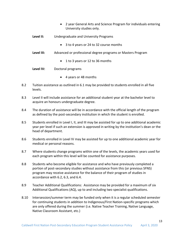- 2 year General Arts and Science Program for individuals entering University studies only.
- **Level II:** Undergraduate and University Programs
	- 3 to 4 years or 24 to 32 course months
- **Level III:** Advanced or professional degree programs or Masters Program
	- 1 to 3 years or 12 to 36 months

**Level IV:** Doctoral programs

- 4 years or 48 months
- 8.2 Tuition assistance as outlined in 6.1 may be provided to students enrolled in all five levels.
- 8.3 Level II will include assistance for an additional student year at the bachelor level to acquire an honours undergraduate degree.
- 8.4 The duration of assistance will be in accordance with the official length of the program as defined by the post-secondary institution in which the student is enrolled.
- 8.5 Students enrolled in Level I, II, and III may be assisted for up to one additional academic year per level if such an extension is approved in writing by the institution's dean or the head of department.
- 8.6 Students enrolled in Level IV may be assisted for up to one additional academic year for medical or personal reasons.
- 8.7 Where students change programs within one of the levels, the academic years used for each program within this level will be counted for assistance purposes.
- 8.8 Students who become eligible for assistance and who have previously completed a portion of post-secondary studies without assistance from this (or previous SFNS) program may receive assistance for the balance of their program of studies in accordance with 6.2, 6.3, and 6.4.
- 8.9 Teacher Additional Qualifications: Assistance may be provided for a maximum of six Additional Qualifications (AQ), up to and including two specialist qualifications.
- 8.10 Intersession/summer term may be funded only when it is a regular scheduled semester for continuing students in addition to Indigenous/First Nation-specific programs which are only offered during the summer (i.e. Native Teacher Training, Native Language, Native Classroom Assistant, etc.)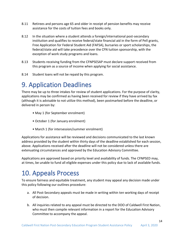- 8.11 Retirees and persons age 65 and older in receipt of pension benefits may receive assistance for the costs of tuition fees and books only.
- 8.12 In the situation where a student attends a foreign/international post-secondary institution and qualifies to receive federal/state financial aid in the form of Pell grants, Free Application for Federal Student Aid (FAFSA), bursaries or sport scholarships, the federal/state aid will take precedence over the CFN tuition sponsorship, with the exception of work study programs and loans.
- 8.13 Students receiving funding from the CFNPSESAP must declare support received from this program as a source of income when applying for social assistance.
- 8.14 Student loans will not be repaid by this program.

## <span id="page-14-0"></span>9. Application Deadlines

There may be up to three intakes for review of student applications. For the purpose of clarity, applications may be confirmed as having been received for review if they have arrived by fax (although it is advisable to not utilize this method), been postmarked before the deadline, or delivered in person by:

- May 1 (for September enrolment)
- October 1 (for January enrolment)
- March 1 (for intersession/summer enrolment)

Applications for assistance will be reviewed and decisions communicated to the last known address provided by the student within thirty days of the deadline established for each session, above. Applications received after the deadline will not be considered unless there are extenuating circumstances and approved by the Education Advisory Committee.

Applications are approved based on priority level and availability of funds. The CFNPSED may, at times, be unable to fund all eligible expenses under this policy due to lack of available funds.

# <span id="page-14-1"></span>10. Appeals Process

To ensure fairness and equitable treatment, any student may appeal any decision made under this policy following our outlines procedure:

- a. All Post-Secondary appeals must be made in writing within ten working days of receipt of decision.
- b. All inquiries related to any appeal must be directed to the DOO of Caldwell First Nation, who must then compile relevant information in a report for the Education Advisory Committee to accompany the appeal.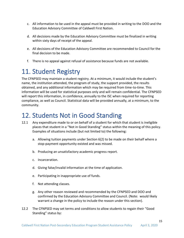- c. All information to be used in the appeal must be provided in writing to the DOO and the Education Advisory Committee of Caldwell First Nation.
- d. All decisions made by the Education Advisory Committee must be finalized in writing within sixty days of receipt of the appeal.
- e. All decisions of the Education Advisory Committee are recommended to Council for the final decision to be made.
- f. There is no appeal against refusal of assistance because funds are not available.

# <span id="page-15-0"></span>11. Student Registry

The CFNPSED may maintain a student registry. At a minimum, it would include the student's name, the institution attended, the program of study, the support provided, the results obtained, and any additional information which may be required from time-to-time. This information will be used for statistical purposes only and will remain confidential. The CFNPSED will report this information, in confidence, annually to the ISC when required for reporting compliance, as well as Council. Statistical data will be provided annually, at a minimum, to the community.

## <span id="page-15-1"></span>12. Students Not in Good Standing

- 12.1 Any expenditure made to or on behalf of a student for which that student is ineligible places that student in a "Not in Good Standing" status within the meaning of this policy. Examples of situations include (but not limited to) the following:
	- a. Allowing tuition payments under Section 6(2) to be made on their behalf where a stop-payment opportunity existed and was missed.
	- b. Producing an unsatisfactory academic progress report.
	- c. Incarceration.
	- d. Giving false/invalid information at the time of application.
	- e. Participating in inappropriate use of funds.
	- f. Not attending classes.
	- g. Any other reason reviewed and recommended by the CFNPSED and DOO and confirmed by the Education Advisory Committee and Council. (Note: would likely warrant a change in the policy to include the reason under this section).
- 12.2 The CFNPSED may set terms and conditions to allow students to regain their "Good Standing" status by: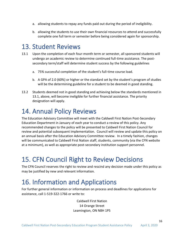- a. allowing students to repay any funds paid out during the period of ineligibility.
- b. allowing the students to use their own financial resources to attend and successfully complete one full term or semester before being considered again for sponsorship.

#### <span id="page-16-0"></span>13. Student Reviews

- 13.1 Upon the completion of each four-month term or semester, all sponsored students will undergo an academic review to determine continued full-time assistance. The postsecondary term/staff will determine student success by the following guidelines
	- a. 75% successful completion of the student's full-time course load.
	- b. A GPA of 2.0 (60%) or higher or the standard set by the student's program of studies will be the determining guideline for a student to be deemed in good standing.
- 13.2 Students deemed not in good standing and achieving below the standards mentioned in 13.1, above, will become ineligible for further financial assistance. The priority designation will apply.

# <span id="page-16-1"></span>14. Annual Policy Reviews

The Education Advisory Committee will meet with the Caldwell First Nation Post-Secondary Education Department in January of each year to conduct a review of this policy. Any recommended changes to the policy will be presented to Caldwell First Nation Council for review and potential subsequent implementation. Council will review and update this policy on an annual basis after the Education Advisory Committee review. In a timely fashion, changes will be communicated to Caldwell First Nation staff, students, community (via the CFN website at a minimum), as well as appropriate post-secondary institution support personnel.

## <span id="page-16-2"></span>15. CFN Council Right to Review Decisions

The CFN Council reserves the right to review and rescind any decision made under this policy as may be justified by new and relevant information.

## <span id="page-16-3"></span>16. Information and Applications

For further general information or information on process and deadlines for applications for assistance, call 1-519-322-1766 or write to:

> Caldwell First Nation 14 Orange Street Leamington, ON N8H 1P5